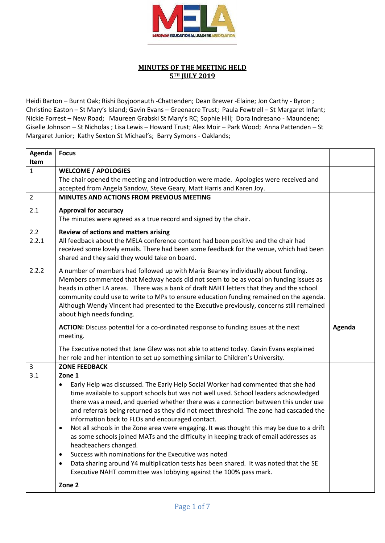

## **MINUTES OF THE MEETING HELD 5TH JULY 2019**

Heidi Barton – Burnt Oak; Rishi Boyjoonauth -Chattenden; Dean Brewer -Elaine; Jon Carthy - Byron ; Christine Easton – St Mary's Island; Gavin Evans – Greenacre Trust; Paula Fewtrell – St Margaret Infant; Nickie Forrest – New Road; Maureen Grabski St Mary's RC; Sophie Hill; Dora Indresano - Maundene; Giselle Johnson – St Nicholas ; Lisa Lewis – Howard Trust; Alex Moir – Park Wood; Anna Pattenden – St Margaret Junior; Kathy Sexton St Michael's; Barry Symons - Oaklands;

| Agenda         | <b>Focus</b>                                                                                                                                                               |        |
|----------------|----------------------------------------------------------------------------------------------------------------------------------------------------------------------------|--------|
| Item           |                                                                                                                                                                            |        |
| $\mathbf{1}$   | <b>WELCOME / APOLOGIES</b>                                                                                                                                                 |        |
|                | The chair opened the meeting and introduction were made. Apologies were received and                                                                                       |        |
|                | accepted from Angela Sandow, Steve Geary, Matt Harris and Karen Joy.                                                                                                       |        |
| $\overline{2}$ | MINUTES AND ACTIONS FROM PREVIOUS MEETING                                                                                                                                  |        |
| 2.1            | <b>Approval for accuracy</b>                                                                                                                                               |        |
|                | The minutes were agreed as a true record and signed by the chair.                                                                                                          |        |
| 2.2            | Review of actions and matters arising                                                                                                                                      |        |
| 2.2.1          | All feedback about the MELA conference content had been positive and the chair had                                                                                         |        |
|                | received some lovely emails. There had been some feedback for the venue, which had been                                                                                    |        |
|                | shared and they said they would take on board.                                                                                                                             |        |
| 2.2.2          | A number of members had followed up with Maria Beaney individually about funding.                                                                                          |        |
|                | Members commented that Medway heads did not seem to be as vocal on funding issues as                                                                                       |        |
|                | heads in other LA areas. There was a bank of draft NAHT letters that they and the school                                                                                   |        |
|                | community could use to write to MPs to ensure education funding remained on the agenda.                                                                                    |        |
|                | Although Wendy Vincent had presented to the Executive previously, concerns still remained                                                                                  |        |
|                | about high needs funding.                                                                                                                                                  |        |
|                |                                                                                                                                                                            |        |
|                | ACTION: Discuss potential for a co-ordinated response to funding issues at the next                                                                                        | Agenda |
|                | meeting.                                                                                                                                                                   |        |
|                |                                                                                                                                                                            |        |
|                | The Executive noted that Jane Glew was not able to attend today. Gavin Evans explained<br>her role and her intention to set up something similar to Children's University. |        |
| 3              | <b>ZONE FEEDBACK</b>                                                                                                                                                       |        |
| 3.1            | Zone 1                                                                                                                                                                     |        |
|                | Early Help was discussed. The Early Help Social Worker had commented that she had<br>$\bullet$                                                                             |        |
|                | time available to support schools but was not well used. School leaders acknowledged                                                                                       |        |
|                | there was a need, and queried whether there was a connection between this under use                                                                                        |        |
|                | and referrals being returned as they did not meet threshold. The zone had cascaded the                                                                                     |        |
|                | information back to FLOs and encouraged contact.                                                                                                                           |        |
|                | Not all schools in the Zone area were engaging. It was thought this may be due to a drift<br>$\bullet$                                                                     |        |
|                | as some schools joined MATs and the difficulty in keeping track of email addresses as                                                                                      |        |
|                | headteachers changed.                                                                                                                                                      |        |
|                | Success with nominations for the Executive was noted<br>$\bullet$<br>$\bullet$                                                                                             |        |
|                | Data sharing around Y4 multiplication tests has been shared. It was noted that the SE                                                                                      |        |
|                | Executive NAHT committee was lobbying against the 100% pass mark.<br>Zone 2                                                                                                |        |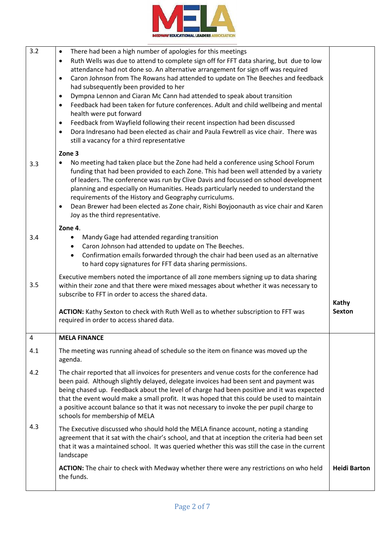

| 3.2 | There had been a high number of apologies for this meetings<br>$\bullet$<br>Ruth Wells was due to attend to complete sign off for FFT data sharing, but due to low<br>$\bullet$<br>attendance had not done so. An alternative arrangement for sign off was required<br>Caron Johnson from The Rowans had attended to update on The Beeches and feedback<br>$\bullet$<br>had subsequently been provided to her<br>Dympna Lennon and Ciaran Mc Cann had attended to speak about transition<br>$\bullet$<br>Feedback had been taken for future conferences. Adult and child wellbeing and mental<br>$\bullet$<br>health were put forward<br>Feedback from Wayfield following their recent inspection had been discussed<br>$\bullet$<br>Dora Indresano had been elected as chair and Paula Fewtrell as vice chair. There was<br>$\bullet$<br>still a vacancy for a third representative |                        |
|-----|--------------------------------------------------------------------------------------------------------------------------------------------------------------------------------------------------------------------------------------------------------------------------------------------------------------------------------------------------------------------------------------------------------------------------------------------------------------------------------------------------------------------------------------------------------------------------------------------------------------------------------------------------------------------------------------------------------------------------------------------------------------------------------------------------------------------------------------------------------------------------------------|------------------------|
| 3.3 | Zone 3<br>No meeting had taken place but the Zone had held a conference using School Forum<br>٠<br>funding that had been provided to each Zone. This had been well attended by a variety<br>of leaders. The conference was run by Clive Davis and focussed on school development<br>planning and especially on Humanities. Heads particularly needed to understand the<br>requirements of the History and Geography curriculums.<br>Dean Brewer had been elected as Zone chair, Rishi Boyjoonauth as vice chair and Karen<br>$\bullet$<br>Joy as the third representative.                                                                                                                                                                                                                                                                                                           |                        |
| 3.4 | Zone 4.<br>Mandy Gage had attended regarding transition<br>$\bullet$<br>Caron Johnson had attended to update on The Beeches.<br>$\bullet$<br>Confirmation emails forwarded through the chair had been used as an alternative<br>$\bullet$<br>to hard copy signatures for FFT data sharing permissions.                                                                                                                                                                                                                                                                                                                                                                                                                                                                                                                                                                               |                        |
| 3.5 | Executive members noted the importance of all zone members signing up to data sharing<br>within their zone and that there were mixed messages about whether it was necessary to<br>subscribe to FFT in order to access the shared data.<br>ACTION: Kathy Sexton to check with Ruth Well as to whether subscription to FFT was<br>required in order to access shared data.                                                                                                                                                                                                                                                                                                                                                                                                                                                                                                            | Kathy<br><b>Sexton</b> |
| 4   | <b>MELA FINANCE</b>                                                                                                                                                                                                                                                                                                                                                                                                                                                                                                                                                                                                                                                                                                                                                                                                                                                                  |                        |
| 4.1 | The meeting was running ahead of schedule so the item on finance was moved up the<br>agenda.                                                                                                                                                                                                                                                                                                                                                                                                                                                                                                                                                                                                                                                                                                                                                                                         |                        |
| 4.2 | The chair reported that all invoices for presenters and venue costs for the conference had<br>been paid. Although slightly delayed, delegate invoices had been sent and payment was<br>being chased up. Feedback about the level of charge had been positive and it was expected<br>that the event would make a small profit. It was hoped that this could be used to maintain<br>a positive account balance so that it was not necessary to invoke the per pupil charge to<br>schools for membership of MELA                                                                                                                                                                                                                                                                                                                                                                        |                        |
| 4.3 | The Executive discussed who should hold the MELA finance account, noting a standing<br>agreement that it sat with the chair's school, and that at inception the criteria had been set<br>that it was a maintained school. It was queried whether this was still the case in the current<br>landscape                                                                                                                                                                                                                                                                                                                                                                                                                                                                                                                                                                                 |                        |
|     | ACTION: The chair to check with Medway whether there were any restrictions on who held<br>the funds.                                                                                                                                                                                                                                                                                                                                                                                                                                                                                                                                                                                                                                                                                                                                                                                 | <b>Heidi Barton</b>    |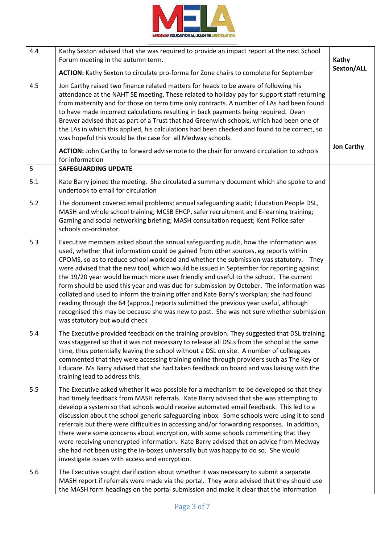

| 4.4 | Kathy Sexton advised that she was required to provide an impact report at the next School<br>Forum meeting in the autumn term.                                                                                                                                                                                                                                                                                                                                                                                                                                                                                                                                                                                                                                                                                                                                         | Kathy             |
|-----|------------------------------------------------------------------------------------------------------------------------------------------------------------------------------------------------------------------------------------------------------------------------------------------------------------------------------------------------------------------------------------------------------------------------------------------------------------------------------------------------------------------------------------------------------------------------------------------------------------------------------------------------------------------------------------------------------------------------------------------------------------------------------------------------------------------------------------------------------------------------|-------------------|
|     | <b>ACTION:</b> Kathy Sexton to circulate pro-forma for Zone chairs to complete for September                                                                                                                                                                                                                                                                                                                                                                                                                                                                                                                                                                                                                                                                                                                                                                           | Sexton/ALL        |
| 4.5 | Jon Carthy raised two finance related matters for heads to be aware of following his<br>attendance at the NAHT SE meeting. These related to holiday pay for support staff returning<br>from maternity and for those on term time only contracts. A number of LAs had been found<br>to have made incorrect calculations resulting in back payments being required. Dean<br>Brewer advised that as part of a Trust that had Greenwich schools, which had been one of<br>the LAs in which this applied, his calculations had been checked and found to be correct, so<br>was hopeful this would be the case for all Medway schools.                                                                                                                                                                                                                                       |                   |
|     | ACTION: John Carthy to forward advise note to the chair for onward circulation to schools<br>for information                                                                                                                                                                                                                                                                                                                                                                                                                                                                                                                                                                                                                                                                                                                                                           | <b>Jon Carthy</b> |
| 5   | <b>SAFEGUARDING UPDATE</b>                                                                                                                                                                                                                                                                                                                                                                                                                                                                                                                                                                                                                                                                                                                                                                                                                                             |                   |
| 5.1 | Kate Barry joined the meeting. She circulated a summary document which she spoke to and<br>undertook to email for circulation                                                                                                                                                                                                                                                                                                                                                                                                                                                                                                                                                                                                                                                                                                                                          |                   |
| 5.2 | The document covered email problems; annual safeguarding audit; Education People DSL,<br>MASH and whole school training; MCSB EHCP, safer recruitment and E-learning training;<br>Gaming and social networking briefing; MASH consultation request; Kent Police safer<br>schools co-ordinator.                                                                                                                                                                                                                                                                                                                                                                                                                                                                                                                                                                         |                   |
| 5.3 | Executive members asked about the annual safeguarding audit, how the information was<br>used, whether that information could be gained from other sources, eg reports within<br>CPOMS, so as to reduce school workload and whether the submission was statutory. They<br>were advised that the new tool, which would be issued in September for reporting against<br>the 19/20 year would be much more user friendly and useful to the school. The current<br>form should be used this year and was due for submission by October. The information was<br>collated and used to inform the training offer and Kate Barry's workplan; she had found<br>reading through the 64 (approx.) reports submitted the previous year useful, although<br>recognised this may be because she was new to post. She was not sure whether submission<br>was statutory but would check |                   |
| 5.4 | The Executive provided feedback on the training provision. They suggested that DSL training<br>was staggered so that it was not necessary to release all DSLs from the school at the same<br>time, thus potentially leaving the school without a DSL on site. A number of colleagues<br>commented that they were accessing training online through providers such as The Key or<br>Educare. Ms Barry advised that she had taken feedback on board and was liaising with the<br>training lead to address this.                                                                                                                                                                                                                                                                                                                                                          |                   |
| 5.5 | The Executive asked whether it was possible for a mechanism to be developed so that they<br>had timely feedback from MASH referrals. Kate Barry advised that she was attempting to<br>develop a system so that schools would receive automated email feedback. This led to a<br>discussion about the school generic safeguarding inbox. Some schools were using it to send<br>referrals but there were difficulties in accessing and/or forwarding responses. In addition,<br>there were some concerns about encryption, with some schools commenting that they<br>were receiving unencrypted information. Kate Barry advised that on advice from Medway<br>she had not been using the in-boxes universally but was happy to do so. She would<br>investigate issues with access and encryption.                                                                        |                   |
| 5.6 | The Executive sought clarification about whether it was necessary to submit a separate<br>MASH report if referrals were made via the portal. They were advised that they should use<br>the MASH form headings on the portal submission and make it clear that the information                                                                                                                                                                                                                                                                                                                                                                                                                                                                                                                                                                                          |                   |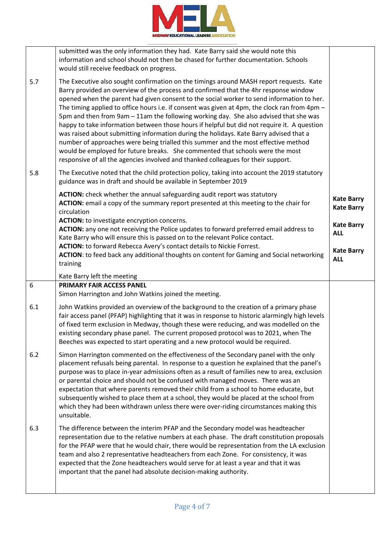

|     | submitted was the only information they had. Kate Barry said she would note this<br>information and school should not then be chased for further documentation. Schools<br>would still receive feedback on progress.                                                                                                                                                                                                                                                                                                                                                                                                                                                                                                                                                                                                                                                                                                          |                                        |
|-----|-------------------------------------------------------------------------------------------------------------------------------------------------------------------------------------------------------------------------------------------------------------------------------------------------------------------------------------------------------------------------------------------------------------------------------------------------------------------------------------------------------------------------------------------------------------------------------------------------------------------------------------------------------------------------------------------------------------------------------------------------------------------------------------------------------------------------------------------------------------------------------------------------------------------------------|----------------------------------------|
| 5.7 | The Executive also sought confirmation on the timings around MASH report requests. Kate<br>Barry provided an overview of the process and confirmed that the 4hr response window<br>opened when the parent had given consent to the social worker to send information to her.<br>The timing applied to office hours i.e. if consent was given at 4pm, the clock ran from 4pm $-$<br>5pm and then from 9am - 11am the following working day. She also advised that she was<br>happy to take information between those hours if helpful but did not require it. A question<br>was raised about submitting information during the holidays. Kate Barry advised that a<br>number of approaches were being trialled this summer and the most effective method<br>would be employed for future breaks. She commented that schools were the most<br>responsive of all the agencies involved and thanked colleagues for their support. |                                        |
| 5.8 | The Executive noted that the child protection policy, taking into account the 2019 statutory<br>guidance was in draft and should be available in September 2019                                                                                                                                                                                                                                                                                                                                                                                                                                                                                                                                                                                                                                                                                                                                                               |                                        |
|     | ACTION: check whether the annual safeguarding audit report was statutory<br>ACTION: email a copy of the summary report presented at this meeting to the chair for<br>circulation<br>ACTION: to investigate encryption concerns.                                                                                                                                                                                                                                                                                                                                                                                                                                                                                                                                                                                                                                                                                               | <b>Kate Barry</b><br><b>Kate Barry</b> |
|     | ACTION: any one not receiving the Police updates to forward preferred email address to<br>Kate Barry who will ensure this is passed on to the relevant Police contact.<br>ACTION: to forward Rebecca Avery's contact details to Nickie Forrest.                                                                                                                                                                                                                                                                                                                                                                                                                                                                                                                                                                                                                                                                               | <b>Kate Barry</b><br><b>ALL</b>        |
|     | ACTION: to feed back any additional thoughts on content for Gaming and Social networking<br>training                                                                                                                                                                                                                                                                                                                                                                                                                                                                                                                                                                                                                                                                                                                                                                                                                          | <b>Kate Barry</b><br><b>ALL</b>        |
|     | Kate Barry left the meeting                                                                                                                                                                                                                                                                                                                                                                                                                                                                                                                                                                                                                                                                                                                                                                                                                                                                                                   |                                        |
| 6   | PRIMARY FAIR ACCESS PANEL<br>Simon Harrington and John Watkins joined the meeting.                                                                                                                                                                                                                                                                                                                                                                                                                                                                                                                                                                                                                                                                                                                                                                                                                                            |                                        |
| 6.1 | John Watkins provided an overview of the background to the creation of a primary phase<br>fair access panel (PFAP) highlighting that it was in response to historic alarmingly high levels<br>of fixed term exclusion in Medway, though these were reducing, and was modelled on the<br>existing secondary phase panel. The current proposed protocol was to 2021, when The<br>Beeches was expected to start operating and a new protocol would be required.                                                                                                                                                                                                                                                                                                                                                                                                                                                                  |                                        |
| 6.2 | Simon Harrington commented on the effectiveness of the Secondary panel with the only<br>placement refusals being parental. In response to a question he explained that the panel's<br>purpose was to place in-year admissions often as a result of families new to area, exclusion<br>or parental choice and should not be confused with managed moves. There was an<br>expectation that where parents removed their child from a school to home educate, but<br>subsequently wished to place them at a school, they would be placed at the school from<br>which they had been withdrawn unless there were over-riding circumstances making this<br>unsuitable.                                                                                                                                                                                                                                                               |                                        |
| 6.3 | The difference between the interim PFAP and the Secondary model was headteacher<br>representation due to the relative numbers at each phase. The draft constitution proposals<br>for the PFAP were that he would chair, there would be representation from the LA exclusion<br>team and also 2 representative headteachers from each Zone. For consistency, it was<br>expected that the Zone headteachers would serve for at least a year and that it was<br>important that the panel had absolute decision-making authority.                                                                                                                                                                                                                                                                                                                                                                                                 |                                        |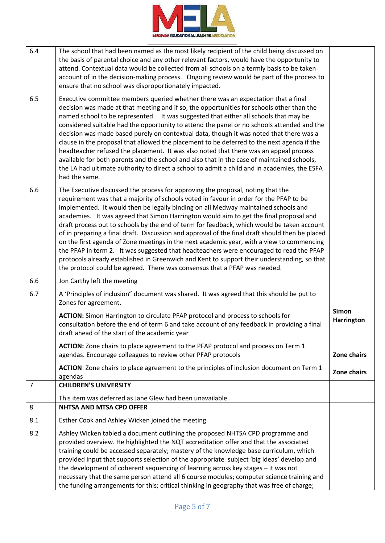

| 6.4            | The school that had been named as the most likely recipient of the child being discussed on<br>the basis of parental choice and any other relevant factors, would have the opportunity to<br>attend. Contextual data would be collected from all schools on a termly basis to be taken<br>account of in the decision-making process. Ongoing review would be part of the process to<br>ensure that no school was disproportionately impacted.                                                                                                                                                                                                                                                                                                                                                                                                                                                                                  |                                   |
|----------------|--------------------------------------------------------------------------------------------------------------------------------------------------------------------------------------------------------------------------------------------------------------------------------------------------------------------------------------------------------------------------------------------------------------------------------------------------------------------------------------------------------------------------------------------------------------------------------------------------------------------------------------------------------------------------------------------------------------------------------------------------------------------------------------------------------------------------------------------------------------------------------------------------------------------------------|-----------------------------------|
| 6.5            | Executive committee members queried whether there was an expectation that a final<br>decision was made at that meeting and if so, the opportunities for schools other than the<br>named school to be represented. It was suggested that either all schools that may be<br>considered suitable had the opportunity to attend the panel or no schools attended and the<br>decision was made based purely on contextual data, though it was noted that there was a<br>clause in the proposal that allowed the placement to be deferred to the next agenda if the<br>headteacher refused the placement. It was also noted that there was an appeal process<br>available for both parents and the school and also that in the case of maintained schools,<br>the LA had ultimate authority to direct a school to admit a child and in academies, the ESFA<br>had the same.                                                          |                                   |
| 6.6            | The Executive discussed the process for approving the proposal, noting that the<br>requirement was that a majority of schools voted in favour in order for the PFAP to be<br>implemented. It would then be legally binding on all Medway maintained schools and<br>academies. It was agreed that Simon Harrington would aim to get the final proposal and<br>draft process out to schools by the end of term for feedback, which would be taken account<br>of in preparing a final draft. Discussion and approval of the final draft should then be placed<br>on the first agenda of Zone meetings in the next academic year, with a view to commencing<br>the PFAP in term 2. It was suggested that headteachers were encouraged to read the PFAP<br>protocols already established in Greenwich and Kent to support their understanding, so that<br>the protocol could be agreed. There was consensus that a PFAP was needed. |                                   |
| 6.6            | Jon Carthy left the meeting                                                                                                                                                                                                                                                                                                                                                                                                                                                                                                                                                                                                                                                                                                                                                                                                                                                                                                    |                                   |
| 6.7            | A 'Principles of inclusion" document was shared. It was agreed that this should be put to<br>Zones for agreement.                                                                                                                                                                                                                                                                                                                                                                                                                                                                                                                                                                                                                                                                                                                                                                                                              |                                   |
|                | ACTION: Simon Harrington to circulate PFAP protocol and process to schools for<br>consultation before the end of term 6 and take account of any feedback in providing a final<br>draft ahead of the start of the academic year                                                                                                                                                                                                                                                                                                                                                                                                                                                                                                                                                                                                                                                                                                 | <b>Simon</b><br><b>Harrington</b> |
|                | ACTION: Zone chairs to place agreement to the PFAP protocol and process on Term 1<br>agendas. Encourage colleagues to review other PFAP protocols                                                                                                                                                                                                                                                                                                                                                                                                                                                                                                                                                                                                                                                                                                                                                                              | Zone chairs                       |
|                | ACTION: Zone chairs to place agreement to the principles of inclusion document on Term 1<br>agendas                                                                                                                                                                                                                                                                                                                                                                                                                                                                                                                                                                                                                                                                                                                                                                                                                            | Zone chairs                       |
| $\overline{7}$ | <b>CHILDREN'S UNIVERSITY</b>                                                                                                                                                                                                                                                                                                                                                                                                                                                                                                                                                                                                                                                                                                                                                                                                                                                                                                   |                                   |
|                | This item was deferred as Jane Glew had been unavailable                                                                                                                                                                                                                                                                                                                                                                                                                                                                                                                                                                                                                                                                                                                                                                                                                                                                       |                                   |
| 8              | <b>NHTSA AND MTSA CPD OFFER</b>                                                                                                                                                                                                                                                                                                                                                                                                                                                                                                                                                                                                                                                                                                                                                                                                                                                                                                |                                   |
| 8.1            | Esther Cook and Ashley Wicken joined the meeting.                                                                                                                                                                                                                                                                                                                                                                                                                                                                                                                                                                                                                                                                                                                                                                                                                                                                              |                                   |
| 8.2            | Ashley Wicken tabled a document outlining the proposed NHTSA CPD programme and<br>provided overview. He highlighted the NQT accreditation offer and that the associated<br>training could be accessed separately; mastery of the knowledge base curriculum, which<br>provided input that supports selection of the appropriate subject 'big ideas' develop and<br>the development of coherent sequencing of learning across key stages - it was not<br>necessary that the same person attend all 6 course modules; computer science training and<br>the funding arrangements for this; critical thinking in geography that was free of charge;                                                                                                                                                                                                                                                                                 |                                   |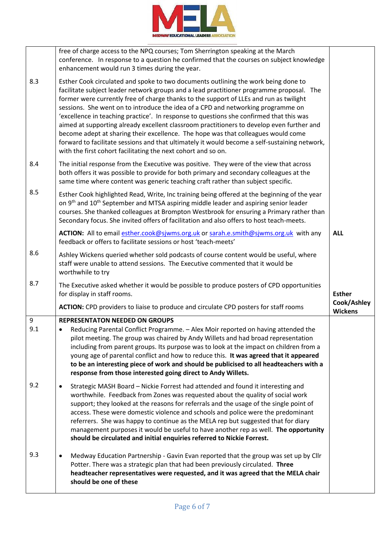

|                         | free of charge access to the NPQ courses; Tom Sherrington speaking at the March<br>conference. In response to a question he confirmed that the courses on subject knowledge<br>enhancement would run 3 times during the year.                                                                                                                                                                                                                                                                                                                                                                                                                                                                                                                                                                               |                               |
|-------------------------|-------------------------------------------------------------------------------------------------------------------------------------------------------------------------------------------------------------------------------------------------------------------------------------------------------------------------------------------------------------------------------------------------------------------------------------------------------------------------------------------------------------------------------------------------------------------------------------------------------------------------------------------------------------------------------------------------------------------------------------------------------------------------------------------------------------|-------------------------------|
| 8.3                     | Esther Cook circulated and spoke to two documents outlining the work being done to<br>facilitate subject leader network groups and a lead practitioner programme proposal. The<br>former were currently free of charge thanks to the support of LLEs and run as twilight<br>sessions. She went on to introduce the idea of a CPD and networking programme on<br>'excellence in teaching practice'. In response to questions she confirmed that this was<br>aimed at supporting already excellent classroom practitioners to develop even further and<br>become adept at sharing their excellence. The hope was that colleagues would come<br>forward to facilitate sessions and that ultimately it would become a self-sustaining network,<br>with the first cohort facilitating the next cohort and so on. |                               |
| 8.4                     | The initial response from the Executive was positive. They were of the view that across<br>both offers it was possible to provide for both primary and secondary colleagues at the<br>same time where content was generic teaching craft rather than subject specific.                                                                                                                                                                                                                                                                                                                                                                                                                                                                                                                                      |                               |
| 8.5                     | Esther Cook highlighted Read, Write, Inc training being offered at the beginning of the year<br>on 9 <sup>th</sup> and 10 <sup>th</sup> September and MTSA aspiring middle leader and aspiring senior leader<br>courses. She thanked colleagues at Brompton Westbrook for ensuring a Primary rather than<br>Secondary focus. She invited offers of facilitation and also offers to host teach-meets.                                                                                                                                                                                                                                                                                                                                                                                                        |                               |
|                         | ACTION: All to email esther.cook@sjwms.org.uk or sarah.e.smith@sjwms.org.uk with any<br>feedback or offers to facilitate sessions or host 'teach-meets'                                                                                                                                                                                                                                                                                                                                                                                                                                                                                                                                                                                                                                                     | <b>ALL</b>                    |
| 8.6                     | Ashley Wickens queried whether sold podcasts of course content would be useful, where<br>staff were unable to attend sessions. The Executive commented that it would be<br>worthwhile to try                                                                                                                                                                                                                                                                                                                                                                                                                                                                                                                                                                                                                |                               |
| 8.7                     | The Executive asked whether it would be possible to produce posters of CPD opportunities<br>for display in staff rooms.                                                                                                                                                                                                                                                                                                                                                                                                                                                                                                                                                                                                                                                                                     | <b>Esther</b>                 |
|                         | <b>ACTION:</b> CPD providers to liaise to produce and circulate CPD posters for staff rooms                                                                                                                                                                                                                                                                                                                                                                                                                                                                                                                                                                                                                                                                                                                 | Cook/Ashley<br><b>Wickens</b> |
| $\boldsymbol{9}$<br>9.1 | <b>REPRESENTATON NEEDED ON GROUPS</b><br>Reducing Parental Conflict Programme. - Alex Moir reported on having attended the<br>pilot meeting. The group was chaired by Andy Willets and had broad representation<br>including from parent groups. Its purpose was to look at the impact on children from a<br>young age of parental conflict and how to reduce this. It was agreed that it appeared<br>to be an interesting piece of work and should be publicised to all headteachers with a<br>response from those interested going direct to Andy Willets.                                                                                                                                                                                                                                                |                               |
| 9.2                     | Strategic MASH Board - Nickie Forrest had attended and found it interesting and<br>worthwhile. Feedback from Zones was requested about the quality of social work<br>support; they looked at the reasons for referrals and the usage of the single point of<br>access. These were domestic violence and schools and police were the predominant<br>referrers. She was happy to continue as the MELA rep but suggested that for diary<br>management purposes it would be useful to have another rep as well. The opportunity<br>should be circulated and initial enquiries referred to Nickie Forrest.                                                                                                                                                                                                       |                               |
| 9.3                     | Medway Education Partnership - Gavin Evan reported that the group was set up by Cllr<br>Potter. There was a strategic plan that had been previously circulated. Three<br>headteacher representatives were requested, and it was agreed that the MELA chair<br>should be one of these                                                                                                                                                                                                                                                                                                                                                                                                                                                                                                                        |                               |